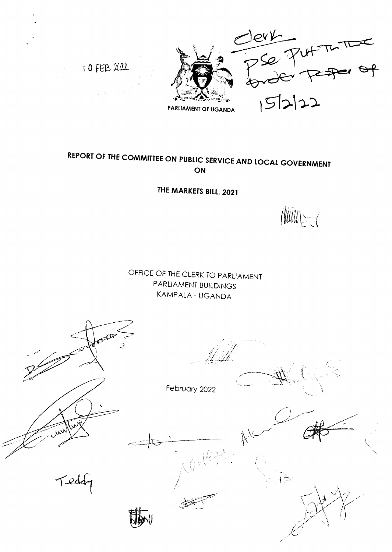10 FEB 2022



# REPORT OF THE COMMITTEE ON PUBLIC SERVICE AND LOCAL GOVERNMENT **ON**

THE MARKETS BILL, 2021

**AUDE COMPOSE** 

OFFICE OF THE CLERK TO PARLIAMENT PARLIAMENT BUILDINGS KAMPALA - UGANDA

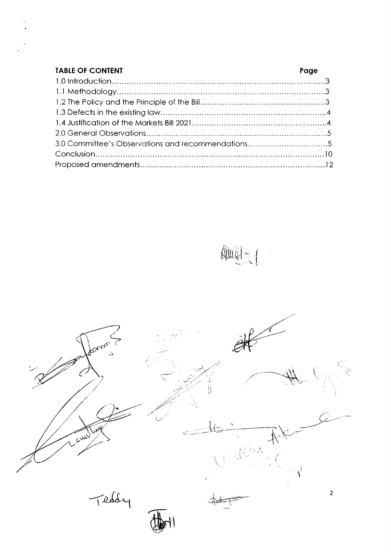| <b>TABLE OF CONTENT</b>                           | Page |
|---------------------------------------------------|------|
|                                                   |      |
|                                                   |      |
|                                                   |      |
|                                                   |      |
|                                                   |      |
|                                                   |      |
| 3.0 Committee's Observations and recommendations5 |      |
|                                                   |      |
|                                                   |      |

 $\text{Aut}(\text{I})$  $\ddot{\phantom{0}}$ 

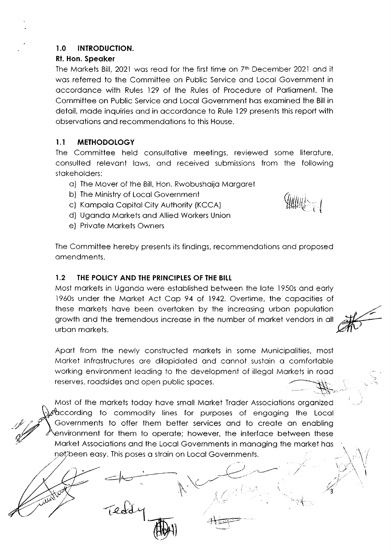# I.O INTRODUCTION.

# Rt. Hon. Speoker

The Morkets Bill, 2021 wos reod for the first time on 7rh December 2021 ond it wos referred to the Committee on Public Service ond Locol Government in occordonce with Rules 129 of the Rules of Procedure of Porlioment. The Committee on Public Service ond Locol Government hos exomined the Bill in detoil, mode inquiries ond in occordonce to Rule 129 presents this report with observotions ond recommendotions to this House.

# I.1 METHODOLOGY

The Committee held consultotive meetings, reviewed some literoture, consulted relevont lows, ond received submissions from the following stokeholders:

- o) The Mover of the Bill, Hon. Rwobushoijo Morgoret
- b) The Ministry of Locol Government
- c) Kompolo Copitol City Authority (KCCA)
- d) Ugondo Morkets ond Allied Workers Union
- e) Privote Morkets Owners

 $\mathbb{Z}$  and  $\mathbb{Z}$  if  $\mathbb{Z}$ I  $\hat{\mathcal{O}}$ 

"-:t. 't

The Committee hereby presents its findings, recommendations and proposed omendments.

# 1.2 THE POLICY AND THE PRINCIPLES OF THE BILL

Most morkets in Ugondo were estoblished between the lote 1950s ond eorly l96Os under the Mqrket Act Cop 94 of 1942. Overtime. the copocities of these markets have been overtaken by the increasing urban population growth ond the tremendous increose in the number of morket vendors in oll urbon morkets.

Aport from the newly constructed morkets in some Municipolities, most Morket lnfrostructures ore dilopidoted ond connot sustoin o comfortoble working environment leoding to the development of illegol Morkets in rood reserves, roadsides and open public spaces.

Most of the markets today have small Market Trader Associations organized  $\mathcal{C}$  commodity lines for purposes of engaging the Local Governments to offer them better services and to create an enabling nvironment for them to operote; however, the interfoce between these Morket Associotions ond the Locol Governments in monoging the morket hos not been easy. This poses a strain on Local Governments.

 $\pm \frac{1}{2}$ 

 $\leq$ 

 $-$ a $\Omega$ 

)

 $\frac{1}{2}$ 

. نخ م

t)

 $\mathbb{Z}$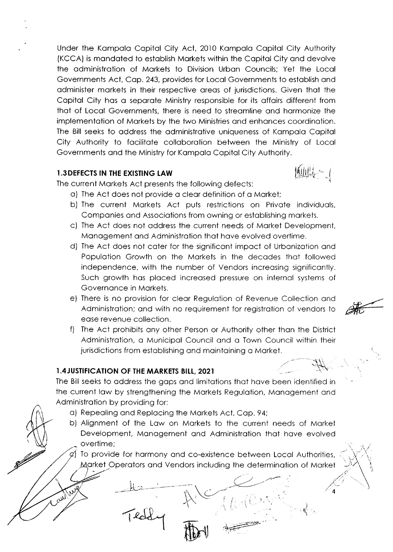Under the Kompolo Copitol City Act, 2010 Kompolo Copitol City Authority (KCCA) is mondoted to estoblish Morkets within the Copitol City ond devolve the odministrotion of Morkets to Division Urbon Councils; Yet the Locol Governments Act, Cop. 243, provides for Locol Governments to estoblish ond odminister morkets in their respective oreqs of lurisdictions. Given thot the Copitol City hos o seporote Ministry responsible for its offoirs different from thot of Locol Governments, there is need to streomline ond hormonize the implementation of Markets by the two Ministries and enhances coordination. The Bill seeks to oddress the odministrotive uniqueness of Kompolo Copitol City Authority to focilitote colloborotion between the Ministry of Locol Governments qnd the Ministry for Kompolo Copitol City Authority.

### 1.3 DEFECTS IN THE EXISTING LAW

The current Markets Act presents the following defects:

- o) The Act does not provide o cleor definition of o Morket;
- b) The current Morkets Act puts restrictions on Privote individuols, Componies ond Associotions from owning or estoblishing morkets.
- c) The Act does not oddress the current needs of Morket Development, Monogement ond Administrotion thot hove evolved overtime.
- d) The Act does not coter for the significont impoct of Urbonizotion ond Population Growth on the Markets in the decades that followed independence, with the number of Vendors increosing significontly. Such growth has placed increased pressure on internal systems of Governonce in Morkets.
- e) There is no provision for cleor Regulotion of Revenue Collection ond Administrotion; ond with no requirement for registrotion of vendors to ease revenue collection.
- f) The Act prohibits any other Person or Authority other than the District Administrotion, o Municipol Council ond o Town Council within their jurisdictions from estoblishing ond mointoining o Morket.

# 1.4 JUSTIFICATION OF THE MARKETS BILL, 2021

Ihe Bill seeks to oddress the gops ond limitotions thot hove been identified in the current low by strengthening the Morkets Regulotion, Monogement ond Administrotion by providing for:

- o) Repeoling ond Replocing the Morkels Act, Cop. 94;
- b) Alignment of the Low on Morkets to the current needs of Morket Development, Management and Administration that have evolved overtime;

To provide for harmony and co-existence between Local Authorities, rket Operators and Vendors including the determination of Market

> $\mathbb{R} \subset$  $\mathbf{V}^{\infty}$  . The  $\mathcal{I}$

**HPEA** 

 $\frac{1}{\sqrt{2}}$ 

**itulity and in the film** 

 $\langle \cdot \rangle$ 

4

i t,

eth

t

أللار.

-  $\frac{1}{2}$ I

 $\downarrow$  --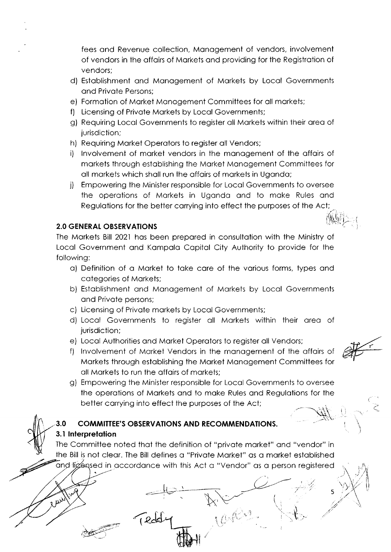fees ond Revenue collection, Monogement of vendors, involvement of vendors in the offoirs of Morkets ond providing for the Registrotion of vendors;

- d) Estoblishment ond Monogement of Morkets by Locol Governments ond Privote Persons;
- e) Formotion of Morket Monogement Committees for oll morkets;
- f) Licensing of Privote Morkets by Locol Governments;
- g) Requiring Locol Governments to register oll Morkets within their oreo of jurisdiction;
- h) Requiring Morket Operotors to register oll Vendors;
- i) Involvement of market vendors in the management of the affairs of morkets through estoblishing the Morket Monogement Committees for oll morkets which sholl run the offoirs of morkets in Ugondo;
- j) Empowering the Minister responsible for Locol Governments to oversee the operotions of Morkets in Ugondo ond to moke Rules ond Regulations for the better carrying into effect the purposes of the Act;  $\subset$ 't .

# 2.0 GENERAL OBSERVATIONS

The Morkets Bill 2021 hos been prepored in consultotion with the Ministry of Locol Government ond Kompolo Copitol City Authority to provide for the following:

- o) Definition of o Morket to toke core of the vqrious forms, types ond cotegories of Morkets;
- b) Estoblishment qnd Monogement of Morkets by Locol Governments ond Privote persons;
- c) Licensing of Privote morkets by Locol Governments;
- d) Locol Governments to register oll Morkets within their oreo of jurisdiction;
- e) Locol Authorities ond Morket Operotors to register oll Vendors;
- f) Involvement of Market Vendors in the management of the affairs of Morkets through estoblishing the Morket Monogement Committees for oll Mqrkets to run the offoirs of morkets;
- $\frac{dV}{dt}$

 $\mathcal{L}$ \. 't

 $\mathbb{R}^{n+1}$ 

,

 $\vee$ 

;<br>;  $\mathscr{A}$ -.7

5

,!  $\langle t \rangle$ 

g) Empowering the Minister responsible for Locol Governments to oversee the operotions of Morkets ond to moke Rules ond Regulotions for the better corrying into effect the purposes of the Act; ..-.- ة .<br>بالمباني

# 3.0 COMMITTEE'S OBSERVATIONS AND RECOMMENDATIONS. 3.1 lnterpretotion

-r-l€'

(

**\\*** 

The Committee noted that the definition of "private market" and "vendor" in the Bill is not cleor. The Bill defines o "Privote Morket" os o morket estoblished and ligensed in accordance with this Act a "Vendor" as a person registered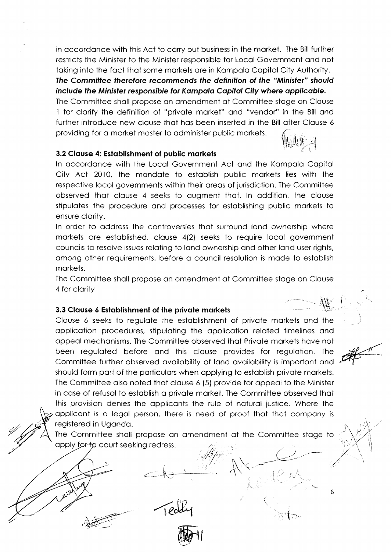in accordance with this Act to carry out business in the market. The Bill further restricts the Minister to the Minister responsible for Local Government and not taking into the fact that some markets are in Kampala Capital City Authority. The Committee therefore recommends the definition of the "Minister" should include the Minister responsible for Kampala Capital City where applicable.

The Committee shall propose an amendment at Committee stage on Clause 1 for clarify the definition of "private market" and "vendor" in the Bill and further introduce new clause that has been inserted in the Bill after Clause 6 providing for a market master to administer public markets.

### 3.2 Clause 4: Establishment of public markets

In accordance with the Local Government Act and the Kampala Capital City Act 2010, the mandate to establish public markets lies with the respective local governments within their areas of jurisdiction. The Committee observed that clause 4 seeks to augment that. In addition, the clause stipulates the procedure and processes for establishing public markets to ensure clarity.

In order to address the controversies that surround land ownership where markets are established, clause 4(2) seeks to require local government councils to resolve issues relating to land ownership and other land user rights, among other requirements, before a council resolution is made to establish markets.

The Committee shall propose an amendment at Committee stage on Clause 4 for clarity

### 3.3 Clause 6 Establishment of the private markets

Clause 6 seeks to regulate the establishment of private markets and the application procedures, stipulating the application related timelines and appeal mechanisms. The Committee observed that Private markets have not been regulated before and this clause provides for regulation. The Committee further observed availability of land availability is important and should form part of the particulars when applying to establish private markets. The Committee also noted that clause 6 (5) provide for appeal to the Minister in case of refusal to establish a private market. The Committee observed that this provision denies the applicants the rule of natural justice. Where the applicant is a legal person, there is need of proof that that company is registered in Uganda.

The Committee shall propose an amendment at the Committee stage to apply for to court seeking redress.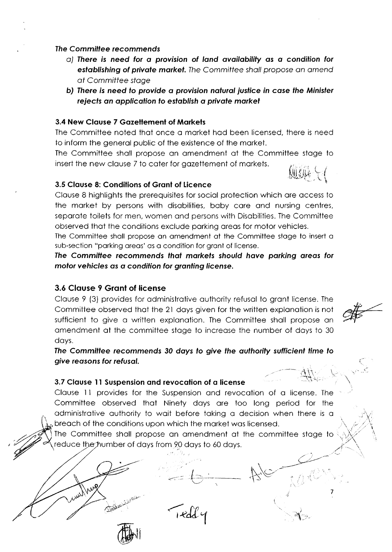### The Committee recommends

- a) There is need for a provision of land availability as a condition for establishing of private market. The Committee shall propose an amend at Committee stage
- b) There is need to provide a provision natural justice in case the Minister rejects an application to establish a private market

## 3.4 New Clause 7 Gazettement of Markets

The Committee noted that once a market had been licensed, there is need to inform the general public of the existence of the market.

The Committee shall propose an amendment at the Committee stage to insert the new clause 7 to cater for gazettement of markets.

# 3.5 Clause 8: Conditions of Grant of Licence

Clause 8 highlights the prerequisites for social protection which are access to the market by persons with disabilities, baby care and nursing centres, separate toilets for men, women and persons with Disabilities. The Committee observed that the conditions exclude parking areas for motor vehicles.

The Committee shall propose an amendment at the Committee stage to insert a sub-section "parking areas' as a condition for grant of license.

The Committee recommends that markets should have parking areas for motor vehicles as a condition for granting license.

### 3.6 Clause 9 Grant of license

Varg

Clause 9 (3) provides for administrative authority refusal to grant license. The Committee observed that the 21 days given for the written explanation is not sufficient to give a written explanation. The Committee shall propose an amendment at the committee stage to increase the number of days to 30 days.

The Committee recommends 30 days to give the authority sufficient time to give reasons for refusal.

### 3.7 Clause 11 Suspension and revocation of a license

Clause 11 provides for the Suspension and revocation of a license. The Committee observed that Ninety days are too long period for the administrative authority to wait before taking a decision when there is a breach of the conditions upon which the market was licensed.

The Committee shall propose an amendment at the committee stage to reduce the humber of days from 90 days to 60 days.

rdd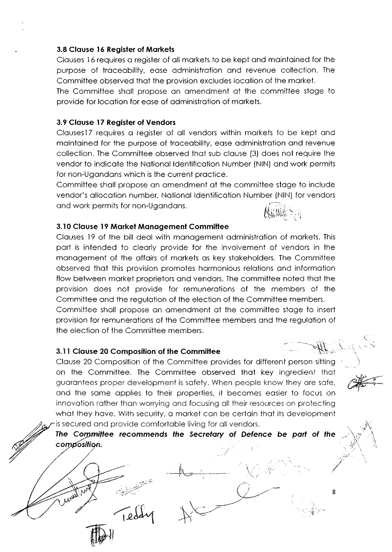#### 3.8 Clouse l6 Register of Morkets

Clouses l6 requires o register of oll morkets to be kept ond mointoined for the purpose of troceobility, eose odministrotion ond revenue collection. The Committee observed thot the provision excludes locotion of the morket.

The Committee sholl propose on omendment of the committee stoge to provide for locotion for eose of odministrotion of morkets.

### 3.9 Clouse l7 Register of Vendors

Clauses 17 requires a register of all vendors within markets to be kept and mointoined for the purpose of troceobility, eose odministrotion ond revenue collection. The Commiltee observed thot sub clouse (3) does not require the vendor to indicate the National Identification Number (NIN) and work permits for non-Ugondons which is the current proctice.

Committee sholl propose on qmendment of the committee stoge to include vendor's ollocotion number. Notionol ldentificotion Number (NlN) for vendors and work permits for non-Ugandans.

### 3.10 Clouse l9 Morket Monogement Committee

Clouses l9 of the bill deol with monogement odministrotion of morkets. This port is intended to cleorly provide for the involvement of vendors in the monogement of the qffoirs of morkets os key stokeholders. The Committee observed thot this provision promotes hormonious relotions ond informotion flow between morket proprietors ond vendors. The committee noted thot the provision does not provide for remunerotions of the members of the Committee ond the regulotion of the election of the Committee members. Committee sholl propose on omendment qt the committee stoge to insert provision for remunerotions of the Committee members ond the regulotion of the election of the Committee members.

### 3.1I Clouse 20 Composilion of the Commiltee

 $\frac{1}{2}$ .....tX'

 $\widehat{\mathbb{V}}$ 

 $\bigcap$ eddy

Clouse 20 Composition of the Committee provides for different person sitting on the Committee. The Committee observed thot key ingredient thot guarantees proper development is safety. When people know they are safe, and the same applies to their properties, it becomes easier to focus on innovation rather than worrying and focusing all their resources on protecting what they have. With security, a market can be certain that its development is secured and provide comfortable living for all vendors.

The Committee recommends the Secretary of Defence be part of the /' composition.

 $\setminus$  / ii ...

 $\downarrow$  .  $\downarrow$   $\downarrow$  $\wedge$  of  $\nearrow$  $\backslash\!\!\!\perp$  /  $\mathscr{W}^{\perp}$  )

 $\frac{1}{\sqrt{2\pi}}$ 



8

,.'4

 $-11$ 

 $\mathbf{r}$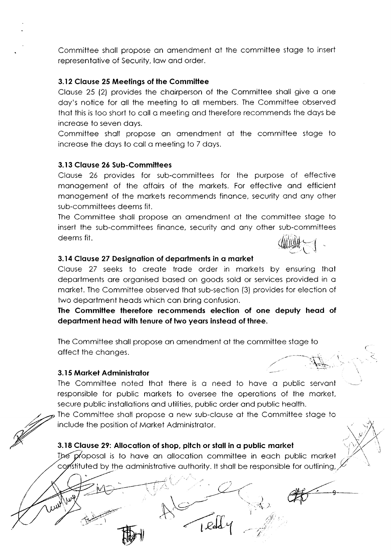Committee sholl propose on omendment of the committee stoge to insert representative of Security, law and order.

### 3.12 Clquse 25 Meetings of the Committee

Clouse 25 (2) provides the choirperson of the Committee sholl give o one doy's notice for oll the meeting to oll members. The Committee observed thot this is too short to coll o meeting ond therefore recommends the doys be increose to seven doys.

Committee sholl propose on omendment of the committee stoge to increase the days to call a meeting to 7 days.

### 3.13 Clouse 26 Sub-Committees

Clause 26 provides for sub-committees for the purpose of effective monogement of the offoirs of the morkets. For effective ond efficient management of the markets recommends finance, security and any other sub-committees deems fit.

The Committee sholl propose on omendment of the committee stoge to insert the sub-committees finonce, security ond ony other sub-committees deems fit.  $\mathbb{Q}$ 

### 3.14 Clause 27 Designation of departments in a market

Clouse 27 seeks to creote trode order in morkets by ensuring thot deportments ore orgonised bosed on goods sold or services provided in o morket. The Committee observed thot sub-section (3) provides for election of two department heads which can bring confusion.

The Committee therefore recommends election of one deputy heod of department head with tenure of two years instead of three.

The Committee sholl propose on omendment of the committee stoge to affect the changes.

### 3.15 Market Administrator

The Committee noted thot there is o need to hove o public servont responsible for public morkets to oversee the operotions of the morket, secure public installations and utilities, public order and public health.

The Committee shall propose a new sub-clause at the Committee stage to include the position of Morket Administrotor.

# 3.18 Clouse 29: Allocotion of shop, pitch or stoll in o public morket

The proposal is to have an allocation committee in each public market constituted by the administrative authority. It shall be responsible for outlining,

 $k$ <sup>2</sup>

 $\mathbb{C}$  ii  $\mathcal{T}^{\pi}_{\mathcal{T}}$ i.-.i-:

(-

 $\checkmark$ ,rj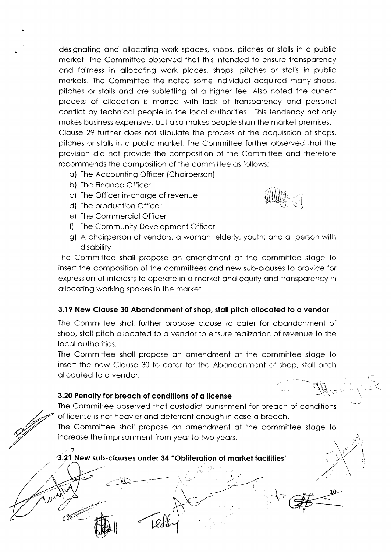designoting ond ollocoting work spoces, shops, pitches or stolls in o public morket. The Committee observed thot this intended to ensure tronsporency and fairness in allocating work places, shops, pitches or stalls in public morkets. The Committee the noted some individuol ocquired mony shops, pitches or stolls ond ore subletting of o higher fee. Also noted the current process of ollocotion is morred with lock of tronsporency ond personol conflict by technicol people in the locol outhorities. This tendency not only mokes business expensive, but olso mokes people shun the morket premises. Clouse 29 further does not stipulote the process of the ocquisition of shops, pitches or stalls in a public market. The Committee further observed that the provision did not provide the composition of the Committee ond therefore recommends the composition of the committee os follows;

- o) The Accounting Officer (Choirperson)
- b) The Finonce Officer
- c) The Officer in-chorge of revenue
- d) The production Officer
- e) The Commerciol Officer
- f) The Community Development Officer
- g) A choirperson of vendors, o womon, elderly, youth; ond o person with disobility

The Committee sholl propose on omendment of the committee stoge to insert the composition of the committees ond new sub-clouses to provide for expression of interests to operote in o morket ond equity ond tronsporency in ollocoting working spoces in the morket.

# 3.19 New Clause 30 Abandonment of shop, stall pitch allocated to a vendor

The Committee sholl further propose clouse to coter for obondonment of shop, stoll pitch ollocoted to o vendor to ensure reolizotion of revenue to the locol outhorities.

The Committee sholl propose on omendment of the committee stoge to insert the new Clouse 30 to coter for the Abondonment of shop, stoll pitch ollocoted to o vendor.

# 3.20 Penalty for breach of conditions of a license

@',

The Committee observed thot custodiol punishment for breoch of conditions of license is not heovier ond deterrent enough in cose o breoch.

The Committee sholl propose on omendment of the committee stoge to increase the imprisonment from year to two years.

# $3.21\,$  New sub-clauses under 34 "Obliteration of market facilities"

 $\mathcal{C}$  $\sqrt{1}$ 

 $\ddot{\phantom{1}}$ 

 $11.1$  $\langle \hat{U}\rangle$ 

> tl  $\ddot{\phantom{0}}$ l;tl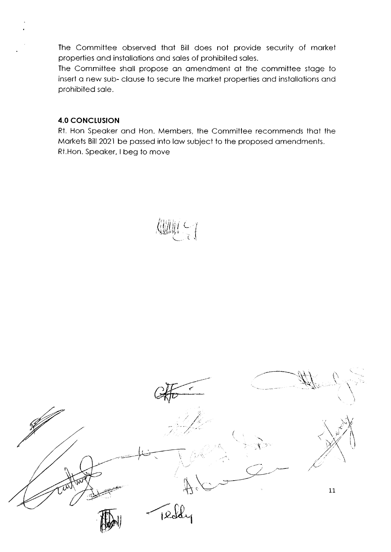The Committee observed that Bill does not provide security of market properties and installations and sales of prohibited sales.

The Committee shall propose an amendment at the committee stage to insert a new sub-clause to secure the market properties and installations and prohibited sale.

# **4.0 CONCLUSION**

Rt. Hon Speaker and Hon. Members, the Committee recommends that the Markets Bill 2021 be passed into law subject to the proposed amendments. Rt.Hon. Speaker, I beg to move



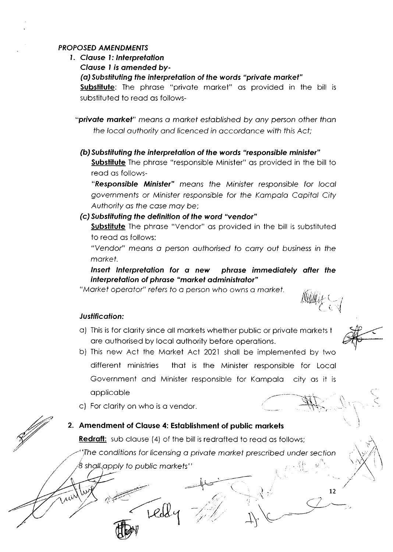### **PROPOSED AMENDMENTS**

- 1. Clause 1: Interpretation
	- Clause 1 is amended by-

(a) Substituting the interpretation of the words "private market"

Substitute: The phrase "private market" as provided in the bill is substituted to read as follows-

"private market" means a market established by any person other than the local authority and licenced in accordance with this Act:

(b) Substituting the interpretation of the words "responsible minister" **Substitute** The phrase "responsible Minister" as provided in the bill to read as follows-

"Responsible Minister" means the Minister responsible for local governments or Minister responsible for the Kampala Capital City Authority as the case may be:

# (c) Substituting the definition of the word "vendor"

**Substitute** The phrase "Vendor" as provided in the bill is substituted to read as follows:

"Vendor" means a person authorised to carry out business in the market.

Insert Interpretation for a new phrase immediately after the interpretation of phrase "market administrator"

"Market operator" refers to a person who owns a market.

# Justification:

- a) This is for clarity since all markets whether public or private markets to are authorised by local authority before operations.
- b) This new Act the Market Act 2021 shall be implemented by two different ministries that is the Minister responsible for Local Government and Minister responsible for Kampala city as it is applicable
- c) For clarity on who is a vendor.

# 2. Amendment of Clause 4: Establishment of public markets

Llde

**Redraft:** sub clause (4) of the bill is redrafted to read as follows;

The conditions for licensing a private market prescribed under section shall apply to public markets''

 $12$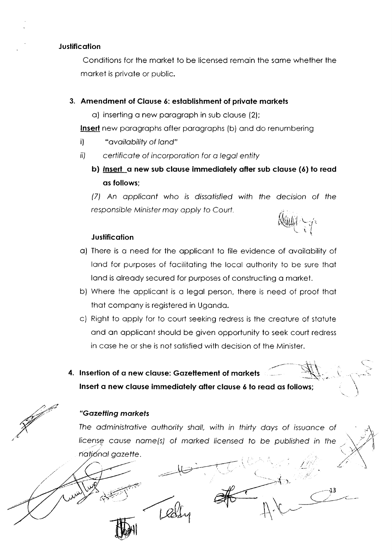### **Justification**

Conditions for the market to be licensed remain the same whether the market is private or public.

# 3. Amendment of Clause 6: establishment of private markets

a) inserting a new paragraph in sub clause (2);

Insert new paragraphs after paragraphs (b) and do renumbering

- "availability of land"  $\mathbf{i}$
- ii) certificate of incorporation for a legal entity
	- b) Insert a new sub clause immediately after sub clause (6) to read as follows:

(7) An applicant who is dissatisfied with the decision of the responsible Minister may apply to Court.

# **Justification**

- a) There is a need for the applicant to file evidence of availability of land for purposes of facilitating the local authority to be sure that land is already secured for purposes of constructing a market.
- b) Where the applicant is a legal person, there is need of proof that that company is registered in Uganda.
- c) Right to apply for to court seeking redress is the creature of statute and an applicant should be given opportunity to seek court redress in case he or she is not satisfied with decision of the Minister.
- 4. Insertion of a new clause: Gazettement of markets Insert a new clause immediately after clause 6 to read as follows;



# "Gazetting markets

The administrative authority shall, with in thirty days of issuance of license cause name(s) of marked licensed to be published in the national gazette.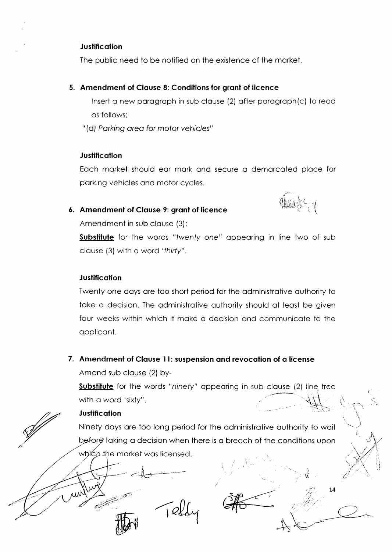#### **Justification**

The public need to be notified on the existence of the morket

#### 5. Amendmenl of Clouse 8: Conditions for gront of licence

lnsert o new porogroph in sub clouse (2) ofter porogroph(c) to reod os follows;

"(d) Parking area for motor vehicles"

#### **Justification**

Eoch morket should eor mork ond secure o demorcoted ploce for porking vehicles ond motor cycles.

### 6. Amendment of Clause 9: grant of licence

Amendment in sub clause (3);

 $@$ ,

!i'

,<br>: .<br>://; -. ,.:.'.. ')' ..

14

 $\overrightarrow{A}$ 

 $\tau$  -  $\sim$ 

I

iiirii

Substitute for the words "twenty one" appearing in line two of sub clouse (3) with o word 'thirfy".

#### **Justification**

Twenty one days are too short period for the administrative authority to take a decision. The administrative authority should at least be given four weeks within which it moke o decision qnd communicote to the opplicont.

### 7. Amendment of Clause 11: suspension and revocation of a license

 $\lceil \varrho \n\vert$ 

Amend sub clause (2) by-

d:-':;

**Substitute** for the words "ninety" appearing in sub clause (2) line tree with a word 'sixty".  $\left\{ \cdot ,\cdot \right\}$  $\tilde{\mathcal{F}}$  $\sum_{i=1}^n$ 

## **Justification**

Ninety doys ore too long period for the odministrotive outhority to woit before taking a decision when there is a breach of the conditions upon which the market was licensed.

 $\ell = 3$